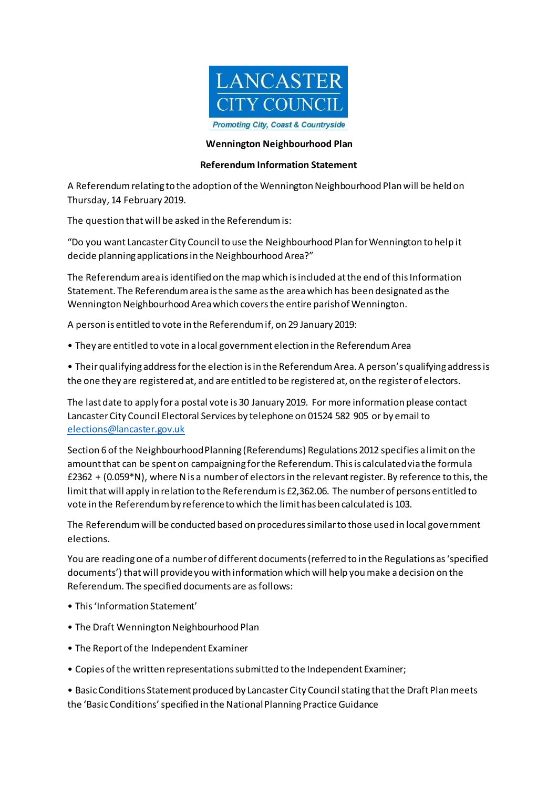

## **Wennington Neighbourhood Plan**

## **Referendum Information Statement**

A Referendum relating to the adoption of the Wennington Neighbourhood Plan will be held on Thursday, 14 February 2019.

The question thatwill be asked in the Referendumis:

"Do you want Lancaster City Council to use the Neighbourhood Plan forWennington to help it decide planning applications in the Neighbourhood Area?"

The Referendum area is identified on the map which is included at the end of this Information Statement. The Referendumarea isthe same asthe area which has been designated asthe Wennington Neighbourhood Area which covers the entire parish of Wennington.

A person is entitled to vote in the Referendumif, on 29 January 2019:

• They are entitled to vote in a local government election in the ReferendumArea

• Their qualifying addressfor the election isin the ReferendumArea. A person's qualifying addressis the one they are registered at, and are entitled to be registered at, on the register of electors.

The last date to apply for a postal vote is 30 January 2019. For more information please contact LancasterCity Council Electoral Services by telephone on 01524 582 905 or by email to [elections@lancaster.gov.uk](mailto:elections@lancaster.gov.uk)

Section 6 of the Neighbourhood Planning (Referendums) Regulations 2012 specifies a limit on the amountthat can be spent on campaigning forthe Referendum. This is calculatedvia the formula £2362 + (0.059\*N), where Nis a numberof electors in the relevantregister. By reference to this,the limit that will apply in relation to the Referendum is £2,362.06. The number of persons entitled to vote in the Referendumby referencetowhich the limit has been calculated is 103.

The Referendumwill be conducted based on proceduressimilar to those used in local government elections.

You are readingone of a numberof different documents(referred to in the Regulations as'specified documents') thatwill provideyou with information which will help youmake adecision on the Referendum. The specified documents are asfollows:

- This 'Information Statement'
- The Draft Wennington Neighbourhood Plan
- The Report of the Independent Examiner
- Copies of the written representations submitted to the Independent Examiner;

• Basic Conditions Statement produced by Lancaster City Council stating that the Draft Plan meets the 'Basic Conditions' specified in the National Planning Practice Guidance